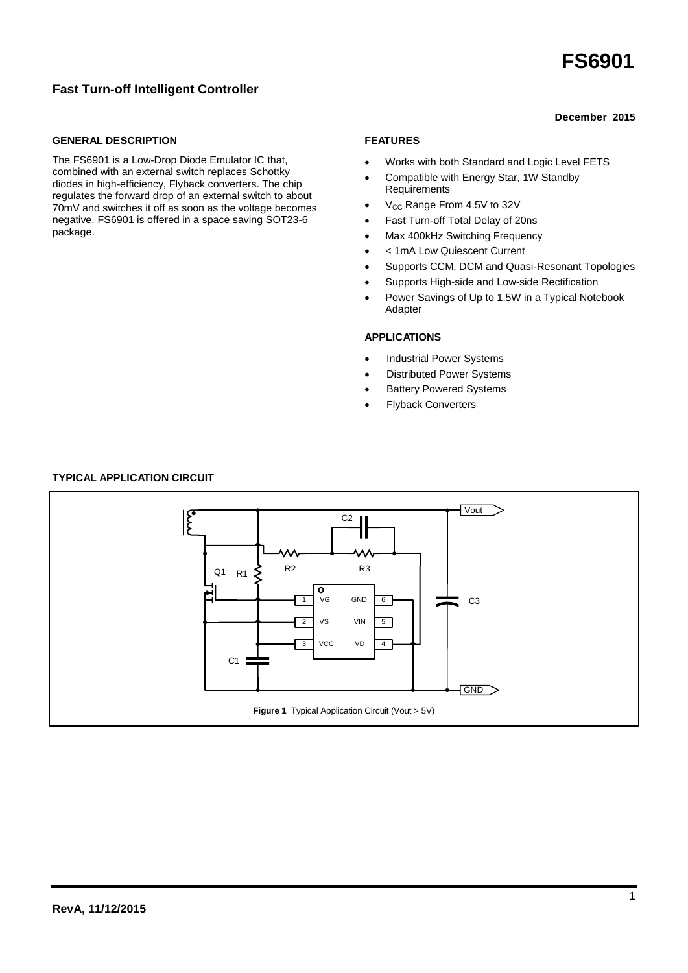# **FS6901**

# **Fast Turn-off Intelligent Controller**

## **GENERAL DESCRIPTION**

The FS6901 is a Low-Drop Diode Emulator IC that, combined with an external switch replaces Schottky diodes in high-efficiency, Flyback converters. The chip regulates the forward drop of an external switch to about 70mV and switches it off as soon as the voltage becomes negative. FS6901 is offered in a space saving SOT23-6 package.

## **December 2015**

## **FEATURES**

- Works with both Standard and Logic Level FETS
- Compatible with Energy Star, 1W Standby Requirements
- $\bullet$  V<sub>CC</sub> Range From 4.5V to 32V
- Fast Turn-off Total Delay of 20ns
- Max 400kHz Switching Frequency
- < 1mA Low Quiescent Current
- Supports CCM, DCM and Quasi-Resonant Topologies
- Supports High-side and Low-side Rectification
- Power Savings of Up to 1.5W in a Typical Notebook Adapter

#### **APPLICATIONS**

- Industrial Power Systems
- Distributed Power Systems
- Battery Powered Systems
- Flyback Converters

# **TYPICAL APPLICATION CIRCUIT**

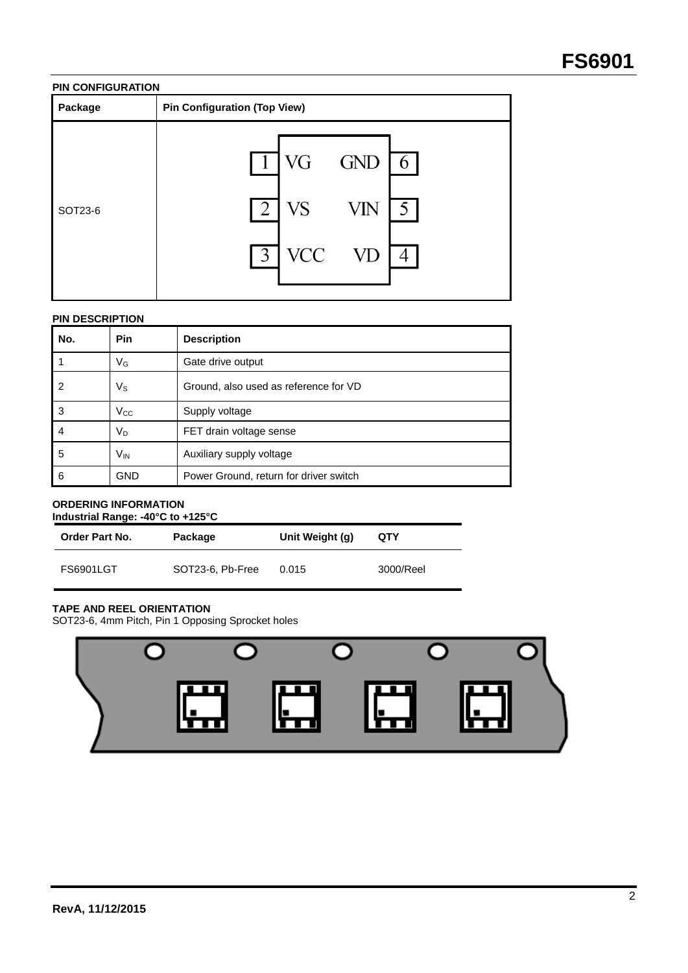## **PIN CONFIGURATION**

| Package | <b>Pin Configuration (Top View)</b>                                 |  |
|---------|---------------------------------------------------------------------|--|
| SOT23-6 | $1$ VG GND<br>6.6<br>2<br>VS<br>VIN<br><b>VCC</b><br>$\overline{3}$ |  |

## **PIN DESCRIPTION**

| No. | <b>Pin</b>     | <b>Description</b>                     |
|-----|----------------|----------------------------------------|
|     | VG             | Gate drive output                      |
| 2   | Vs             | Ground, also used as reference for VD  |
| 3   | $V_{CC}$       | Supply voltage                         |
| 4   | V <sub>D</sub> | FET drain voltage sense                |
| 5   | $V_{IN}$       | Auxiliary supply voltage               |
| 6   | <b>GND</b>     | Power Ground, return for driver switch |

## **ORDERING INFORMATION Industrial Range: -40°C to +125°C**

| <b>Order Part No.</b> | Package          | Unit Weight (g) | QTY       |
|-----------------------|------------------|-----------------|-----------|
| <b>FS6901LGT</b>      | SOT23-6, Pb-Free | 0.015           | 3000/Reel |

# **TAPE AND REEL ORIENTATION**

SOT23-6, 4mm Pitch, Pin 1 Opposing Sprocket holes

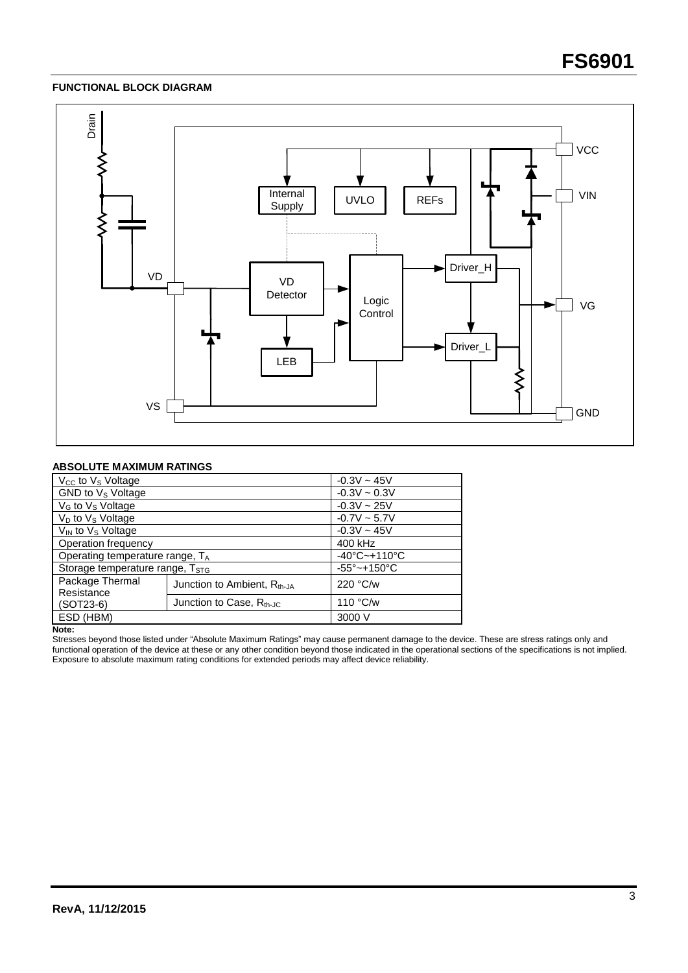## **FUNCTIONAL BLOCK DIAGRAM**



### **ABSOLUTE MAXIMUM RATINGS**

| V <sub>cc</sub> to V <sub>s</sub> Voltage   |                                         | $-0.3V - 45V$                     |  |
|---------------------------------------------|-----------------------------------------|-----------------------------------|--|
| GND to V <sub>s</sub> Voltage               |                                         | $-0.3V \sim 0.3V$                 |  |
| V <sub>G</sub> to V <sub>s</sub> Voltage    |                                         | $-0.3V \sim 25V$                  |  |
| $V_D$ to $V_S$ Voltage                      |                                         | $-0.7V \sim 5.7V$                 |  |
| $V_{\text{IN}}$ to $V_{\text{S}}$ Voltage   |                                         | $-0.3V \sim 45V$                  |  |
| Operation frequency                         |                                         | 400 kHz                           |  |
| Operating temperature range, TA             |                                         | $-40^{\circ}$ C $-+110^{\circ}$ C |  |
| Storage temperature range, T <sub>STG</sub> |                                         | $-55^{\circ}$ ~+150 $^{\circ}$ C  |  |
| Package Thermal<br>Resistance               | Junction to Ambient, R <sub>th-JA</sub> | 220 °C/w                          |  |
| $(SOT23-6)$                                 | Junction to Case, $R_{th-IC}$           | 110 °C/w                          |  |
| ESD (HBM)                                   |                                         | 3000 V                            |  |

**Note:**

Stresses beyond those listed under "Absolute Maximum Ratings" may cause permanent damage to the device. These are stress ratings only and functional operation of the device at these or any other condition beyond those indicated in the operational sections of the specifications is not implied. Exposure to absolute maximum rating conditions for extended periods may affect device reliability.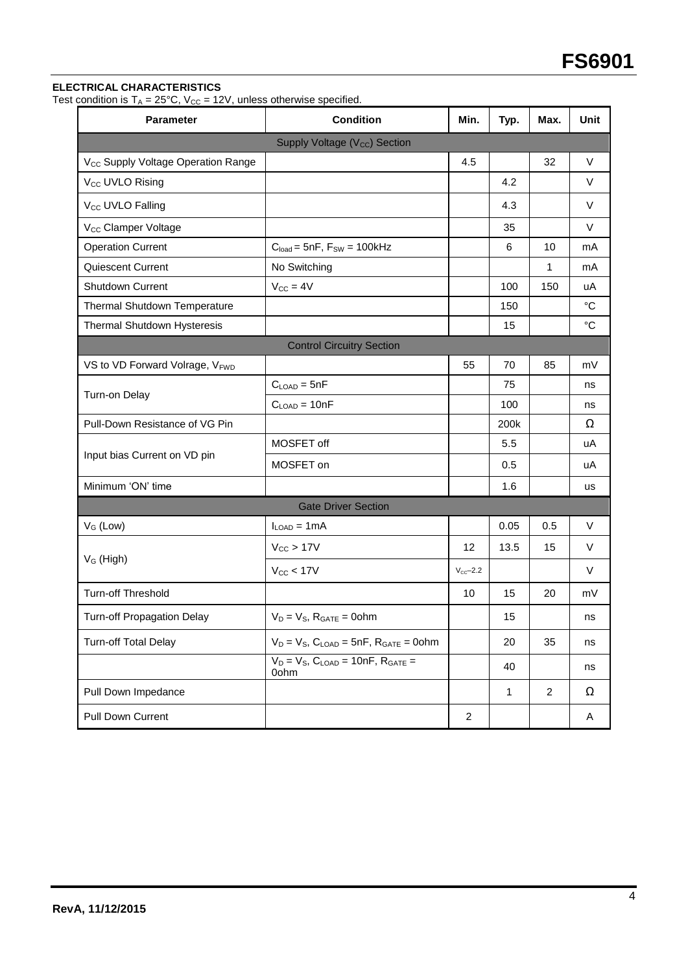# **ELECTRICAL CHARACTERISTICS**

Test condition is  $T_A = 25^{\circ}C$ ,  $V_{CC} = 12V$ , unless otherwise specified.

| <b>Parameter</b>                               | <b>Condition</b>                                       | Min.                | Typ. | Max.           | <b>Unit</b>     |
|------------------------------------------------|--------------------------------------------------------|---------------------|------|----------------|-----------------|
|                                                | Supply Voltage (V <sub>cc</sub> ) Section              |                     |      |                |                 |
| V <sub>CC</sub> Supply Voltage Operation Range |                                                        | 4.5                 |      | 32             | $\vee$          |
| V <sub>CC</sub> UVLO Rising                    |                                                        |                     | 4.2  |                | V               |
| V <sub>CC</sub> UVLO Falling                   |                                                        |                     | 4.3  |                | V               |
| V <sub>CC</sub> Clamper Voltage                |                                                        |                     | 35   |                | V               |
| <b>Operation Current</b>                       | $C_{load} = 5nF$ , $F_{SW} = 100kHz$                   |                     | 6    | 10             | mA              |
| Quiescent Current                              | No Switching                                           |                     |      | 1              | mA              |
| Shutdown Current                               | $V_{CC} = 4V$                                          |                     | 100  | 150            | uA              |
| Thermal Shutdown Temperature                   |                                                        |                     | 150  |                | $^{\circ}C$     |
| Thermal Shutdown Hysteresis                    |                                                        |                     | 15   |                | $\rm ^{\circ}C$ |
|                                                | <b>Control Circuitry Section</b>                       |                     |      |                |                 |
| VS to VD Forward Volrage, VFWD                 |                                                        | 55                  | 70   | 85             | mV              |
| Turn-on Delay                                  | $C_{LOAD} = 5nF$                                       |                     | 75   |                | ns              |
|                                                | $C_{LOAD} = 10nF$                                      |                     | 100  |                | ns              |
| Pull-Down Resistance of VG Pin                 |                                                        |                     | 200k |                | Ω               |
|                                                | MOSFET off                                             |                     | 5.5  |                | uA              |
| Input bias Current on VD pin                   | MOSFET on                                              |                     | 0.5  |                | uA              |
| Minimum 'ON' time                              |                                                        |                     | 1.6  |                | us              |
|                                                | <b>Gate Driver Section</b>                             |                     |      |                |                 |
| $V_G$ (Low)                                    | $I_{LOAD} = 1mA$                                       |                     | 0.05 | 0.5            | V               |
| $V_G$ (High)                                   | $V_{CC}$ > 17V                                         | 12                  | 13.5 | 15             | $\vee$          |
|                                                | $V_{CC}$ < 17V                                         | $V_{\text{cc}-2.2}$ |      |                | V               |
| <b>Turn-off Threshold</b>                      |                                                        | 10                  | 15   | 20             | mV              |
| <b>Turn-off Propagation Delay</b>              | $V_D = V_S$ , $R_{GATE} = 0$ ohm                       |                     | 15   |                | ns              |
| <b>Turn-off Total Delay</b>                    | $V_D = V_S$ , $C_{LOAD} = 5nF$ , $R_{GATE} = 0$ ohm    |                     | 20   | 35             | ns              |
|                                                | $V_D = V_S$ , $C_{LOAD} = 10nF$ , $R_{GATE} =$<br>0ohm |                     | 40   |                | ns              |
| Pull Down Impedance                            |                                                        |                     | 1    | $\overline{c}$ | Ω               |
| Pull Down Current                              |                                                        | 2                   |      |                | Α               |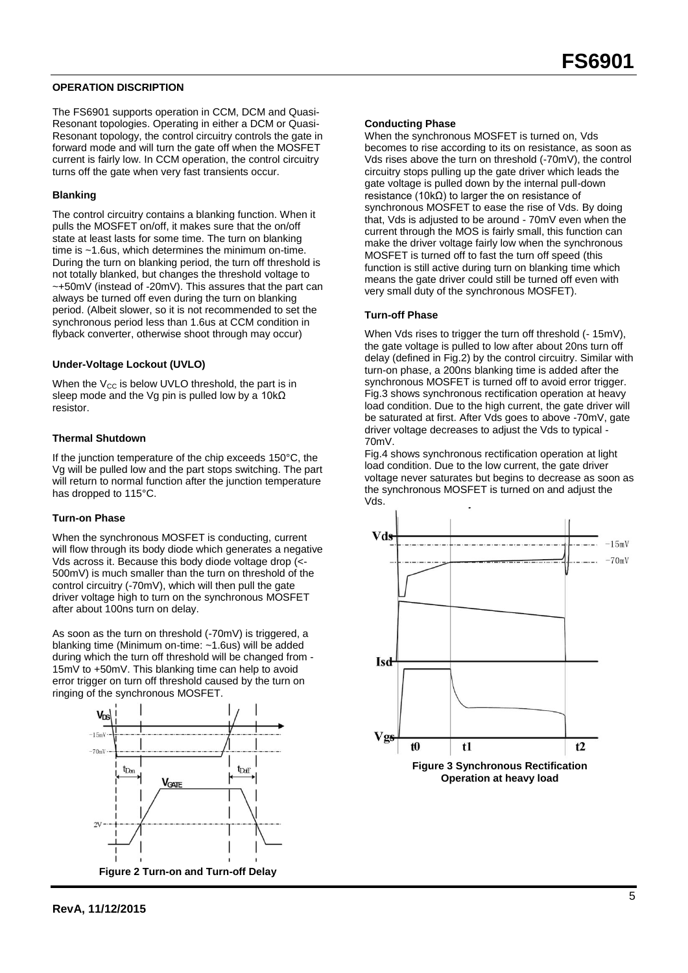## **OPERATION DISCRIPTION**

The FS6901 supports operation in CCM, DCM and Quasi-Resonant topologies. Operating in either a DCM or Quasi-Resonant topology, the control circuitry controls the gate in forward mode and will turn the gate off when the MOSFET current is fairly low. In CCM operation, the control circuitry turns off the gate when very fast transients occur.

#### **Blanking**

The control circuitry contains a blanking function. When it pulls the MOSFET on/off, it makes sure that the on/off state at least lasts for some time. The turn on blanking time is ~1.6us, which determines the minimum on-time. During the turn on blanking period, the turn off threshold is not totally blanked, but changes the threshold voltage to ~+50mV (instead of -20mV). This assures that the part can always be turned off even during the turn on blanking period. (Albeit slower, so it is not recommended to set the synchronous period less than 1.6us at CCM condition in flyback converter, otherwise shoot through may occur)

#### **Under-Voltage Lockout (UVLO)**

When the  $V_{CC}$  is below UVLO threshold, the part is in sleep mode and the Vg pin is pulled low by a 10k $\Omega$ resistor.

## **Thermal Shutdown**

If the junction temperature of the chip exceeds 150°C, the Vg will be pulled low and the part stops switching. The part will return to normal function after the junction temperature has dropped to 115°C.

#### **Turn-on Phase**

When the synchronous MOSFET is conducting, current will flow through its body diode which generates a negative Vds across it. Because this body diode voltage drop (<- 500mV) is much smaller than the turn on threshold of the control circuitry (-70mV), which will then pull the gate driver voltage high to turn on the synchronous MOSFET after about 100ns turn on delay.

As soon as the turn on threshold (-70mV) is triggered, a blanking time (Minimum on-time: ~1.6us) will be added during which the turn off threshold will be changed from - 15mV to +50mV. This blanking time can help to avoid error trigger on turn off threshold caused by the turn on ringing of the synchronous MOSFET.



#### **Conducting Phase**

When the synchronous MOSFET is turned on, Vds becomes to rise according to its on resistance, as soon as Vds rises above the turn on threshold (-70mV), the control circuitry stops pulling up the gate driver which leads the gate voltage is pulled down by the internal pull-down resistance (10kΩ) to larger the on resistance of synchronous MOSFET to ease the rise of Vds. By doing that, Vds is adjusted to be around - 70mV even when the current through the MOS is fairly small, this function can make the driver voltage fairly low when the synchronous MOSFET is turned off to fast the turn off speed (this function is still active during turn on blanking time which means the gate driver could still be turned off even with very small duty of the synchronous MOSFET).

#### **Turn-off Phase**

When Vds rises to trigger the turn off threshold (- 15mV), the gate voltage is pulled to low after about 20ns turn off delay (defined in Fig.2) by the control circuitry. Similar with turn-on phase, a 200ns blanking time is added after the synchronous MOSFET is turned off to avoid error trigger. Fig.3 shows synchronous rectification operation at heavy load condition. Due to the high current, the gate driver will be saturated at first. After Vds goes to above -70mV, gate driver voltage decreases to adjust the Vds to typical - 70mV.

Fig.4 shows synchronous rectification operation at light load condition. Due to the low current, the gate driver voltage never saturates but begins to decrease as soon as the synchronous MOSFET is turned on and adjust the Vds.



**Operation at heavy load**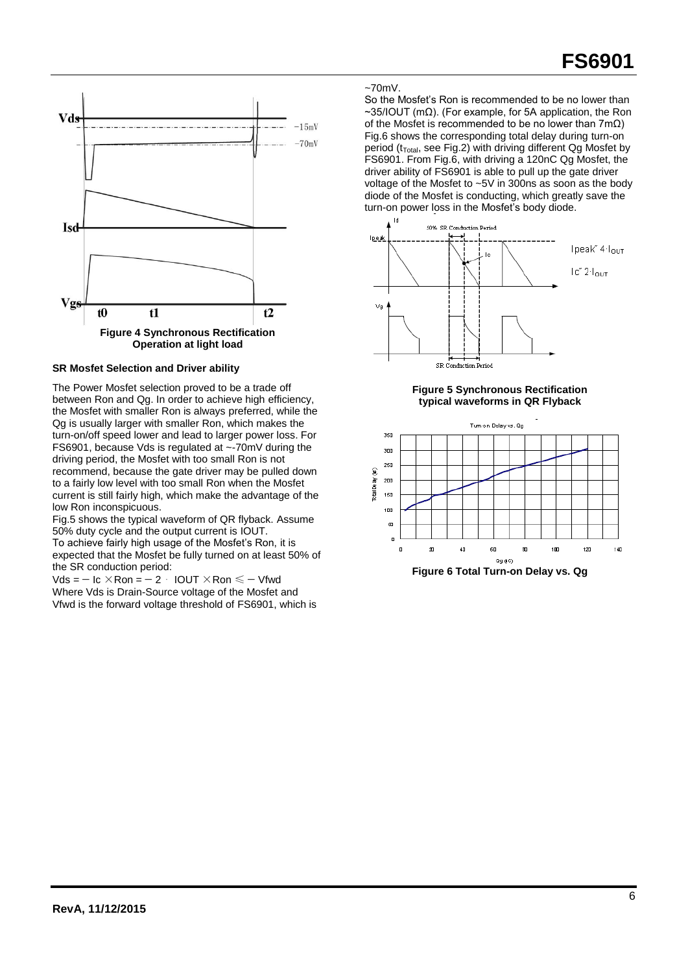

## **SR Mosfet Selection and Driver ability**

The Power Mosfet selection proved to be a trade off between Ron and Qg. In order to achieve high efficiency, the Mosfet with smaller Ron is always preferred, while the Qg is usually larger with smaller Ron, which makes the turn-on/off speed lower and lead to larger power loss. For FS6901, because Vds is regulated at ~-70mV during the driving period, the Mosfet with too small Ron is not recommend, because the gate driver may be pulled down to a fairly low level with too small Ron when the Mosfet current is still fairly high, which make the advantage of the low Ron inconspicuous.

Fig.5 shows the typical waveform of QR flyback. Assume 50% duty cycle and the output current is IOUT.

To achieve fairly high usage of the Mosfet's Ron, it is expected that the Mosfet be fully turned on at least 50% of the SR conduction period:

 $Vds = -$  Ic  $\times$  Ron =  $-2$  · IOUT  $\times$  Ron  $\le -$  Vfwd Where Vds is Drain-Source voltage of the Mosfet and Vfwd is the forward voltage threshold of FS6901, which is

#### $~5$ 70mV.

So the Mosfet's Ron is recommended to be no lower than ~35/IOUT (mΩ). (For example, for 5A application, the Ron of the Mosfet is recommended to be no lower than  $7m\Omega$ ) Fig.6 shows the corresponding total delay during turn-on period ( $t_{Total}$ , see Fig.2) with driving different Qg Mosfet by FS6901. From Fig.6, with driving a 120nC Qg Mosfet, the driver ability of FS6901 is able to pull up the gate driver voltage of the Mosfet to ~5V in 300ns as soon as the body diode of the Mosfet is conducting, which greatly save the turn-on power loss in the Mosfet's body diode.







**Figure 6 Total Turn-on Delay vs. Qg**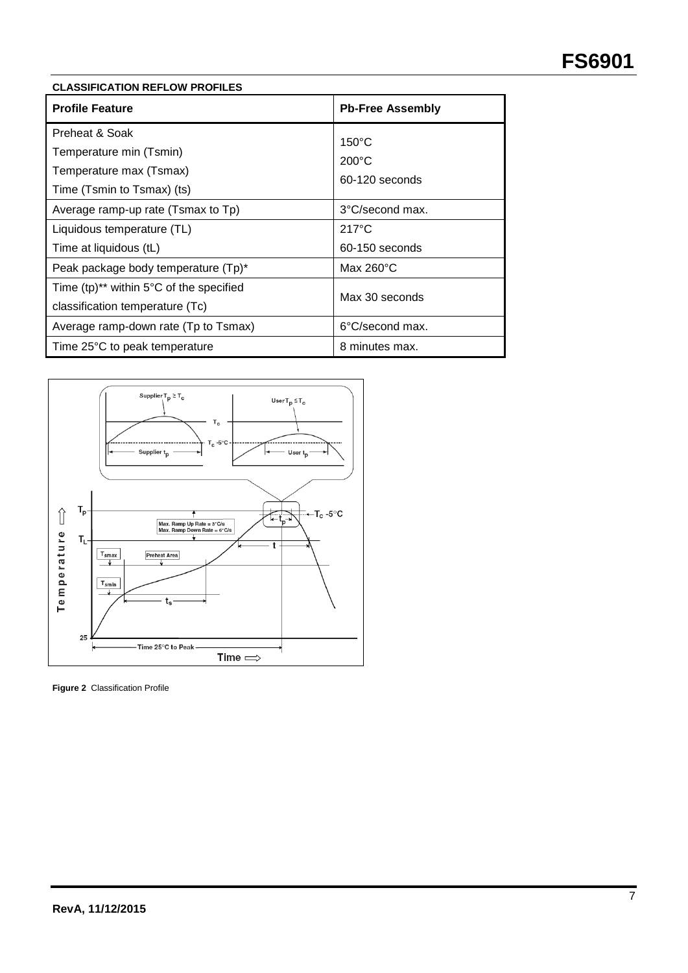## **CLASSIFICATION REFLOW PROFILES**

| <b>Profile Feature</b>                                                                             | <b>Pb-Free Assembly</b>                              |  |  |
|----------------------------------------------------------------------------------------------------|------------------------------------------------------|--|--|
| Preheat & Soak<br>Temperature min (Tsmin)<br>Temperature max (Tsmax)<br>Time (Tsmin to Tsmax) (ts) | $150^{\circ}$ C<br>$200^{\circ}$ C<br>60-120 seconds |  |  |
| Average ramp-up rate (Tsmax to Tp)                                                                 | 3°C/second max.                                      |  |  |
| Liquidous temperature (TL)                                                                         | $217^{\circ}$ C                                      |  |  |
| Time at liquidous (tL)                                                                             | 60-150 seconds                                       |  |  |
| Peak package body temperature (Tp)*                                                                | Max $260^{\circ}$ C                                  |  |  |
| Time $(tp)^{**}$ within 5°C of the specified<br>classification temperature (Tc)                    | Max 30 seconds                                       |  |  |
| Average ramp-down rate (Tp to Tsmax)                                                               | 6°C/second max.                                      |  |  |
| Time 25°C to peak temperature                                                                      | 8 minutes max.                                       |  |  |



**Figure 2** Classification Profile